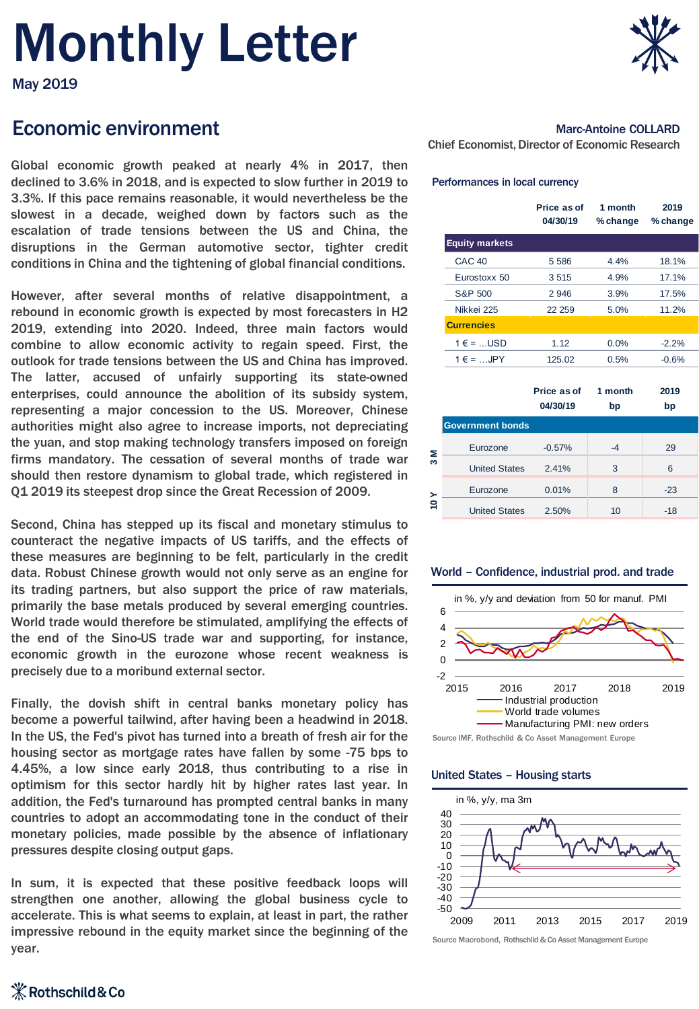# Monthly Letter



# Economic environment

Global economic growth peaked at nearly 4% in 2017, then declined to 3.6% in 2018, and is expected to slow further in 2019 to 3.3%. If this pace remains reasonable, it would nevertheless be the slowest in a decade, weighed down by factors such as the escalation of trade tensions between the US and China, the disruptions in the German automotive sector, tighter credit conditions in China and the tightening of global financial conditions.

However, after several months of relative disappointment, a rebound in economic growth is expected by most forecasters in H2 2019, extending into 2020. Indeed, three main factors would combine to allow economic activity to regain speed. First, the outlook for trade tensions between the US and China has improved. The latter, accused of unfairly supporting its state-owned enterprises, could announce the abolition of its subsidy system, representing a major concession to the US. Moreover, Chinese authorities might also agree to increase imports, not depreciating the yuan, and stop making technology transfers imposed on foreign firms mandatory. The cessation of several months of trade war should then restore dynamism to global trade, which registered in Q1 2019 its steepest drop since the Great Recession of 2009.

Second, China has stepped up its fiscal and monetary stimulus to counteract the negative impacts of US tariffs, and the effects of these measures are beginning to be felt, particularly in the credit data. Robust Chinese growth would not only serve as an engine for its trading partners, but also support the price of raw materials, primarily the base metals produced by several emerging countries. World trade would therefore be stimulated, amplifying the effects of the end of the Sino-US trade war and supporting, for instance, economic growth in the eurozone whose recent weakness is precisely due to a moribund external sector.

Finally, the dovish shift in central banks monetary policy has become a powerful tailwind, after having been a headwind in 2018. In the US, the Fed's pivot has turned into a breath of fresh air for the housing sector as mortgage rates have fallen by some -75 bps to 4.45%, a low since early 2018, thus contributing to a rise in optimism for this sector hardly hit by higher rates last year. In addition, the Fed's turnaround has prompted central banks in many countries to adopt an accommodating tone in the conduct of their monetary policies, made possible by the absence of inflationary pressures despite closing output gaps.

In sum, it is expected that these positive feedback loops will strengthen one another, allowing the global business cycle to accelerate. This is what seems to explain, at least in part, the rather impressive rebound in the equity market since the beginning of the year.



### Marc-Antoine COLLARD

Chief Economist, Director of Economic Research

#### Performances in local currency

|                            | Price as of<br>04/30/19 | 1 month<br>$%$ change | 2019<br>% change |
|----------------------------|-------------------------|-----------------------|------------------|
| <b>Equity markets</b>      |                         |                       |                  |
| <b>CAC 40</b>              | 5 5 8 6                 | 4.4%                  | 18.1%            |
| Eurostoxx 50               | 3515                    | 4.9%                  | 17.1%            |
| S&P 500                    | 2946                    | 3.9%                  | 17.5%            |
| Nikkei 225                 | 22 259                  | 5.0%                  | 11.2%            |
| <b>Currencies</b>          |                         |                       |                  |
| $1 \in \mathsf{=}$ USD     | 1.12                    | 0.0%                  | $-2.2%$          |
| $1 \in \mathsf{I}$ = , JPY | 125.02                  | 0.5%                  | $-0.6%$          |
|                            |                         |                       |                  |
|                            | Price as of             | 1 month               | 2019             |

|                       |                         | 04/30/19 | bp | bp    |  |
|-----------------------|-------------------------|----------|----|-------|--|
|                       | <b>Government bonds</b> |          |    |       |  |
| Σ<br>S                | Eurozone                | $-0.57%$ | -4 | 29    |  |
|                       | <b>United States</b>    | 2.41%    | 3  | 6     |  |
| $\lambda$ 0 $\lambda$ | Eurozone                | 0.01%    | 8  | $-23$ |  |
|                       | <b>United States</b>    | 2.50%    | 10 | -18   |  |

#### World – Confidence, industrial prod. and trade



Source IMF, Rothschild & Co Asset Management Europe

#### United States – Housing starts



Source Macrobond, Rothschild & Co Asset Management Europe

## **X** Rothschild & Co